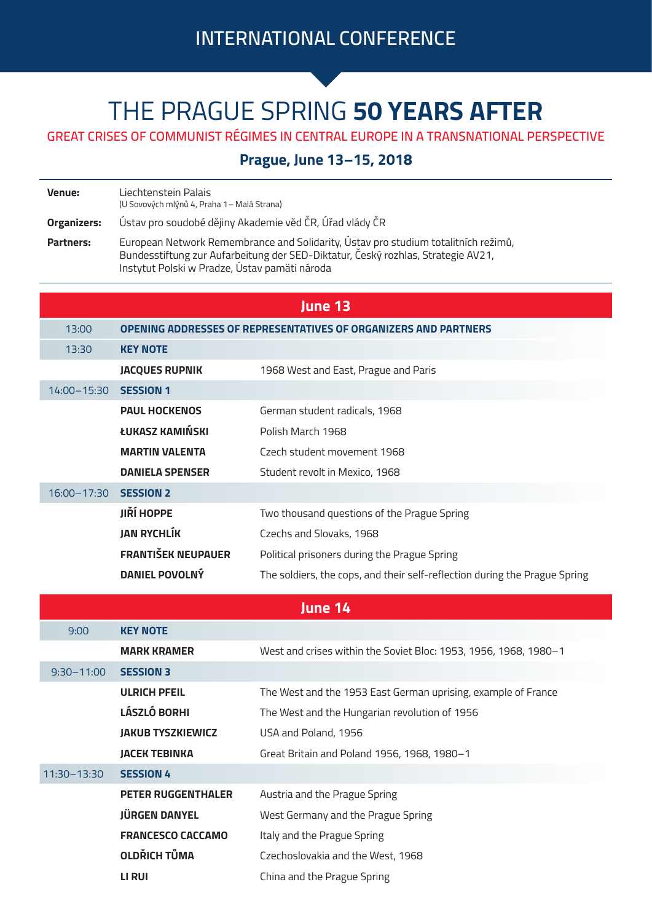## THE PRAGUE SPRING **50 YEARS AFTER**

**GREAT CRISES OF COMMUNIST RÉGIMES IN CENTRAL EUROPE IN A TRANSNATIONAL PERSPECTIVE**

**Prague, June 13–15, 2018**

**Venue:** Liechtenstein Palais (U Sovových mlýnů 4, Praha 1– Malá Strana)

**Organizers:** Ústav pro soudobé dějiny Akademie věd ČR, Úřad vlády ČR

**Partners:** European Network Remembrance and Solidarity, Ústav pro studium totalitních režimů, Bundesstiftung zur Aufarbeitung der SED-Diktatur, Český rozhlas, Strategie AV21, Instytut Polski w Pradze, Ústav pamäti národa

| June 13        |                                                                 |                                                                            |  |
|----------------|-----------------------------------------------------------------|----------------------------------------------------------------------------|--|
| 13:00          | OPENING ADDRESSES OF REPRESENTATIVES OF ORGANIZERS AND PARTNERS |                                                                            |  |
| 13:30          | <b>KEY NOTE</b>                                                 |                                                                            |  |
|                | <b>JACQUES RUPNIK</b>                                           | 1968 West and East, Prague and Paris                                       |  |
| 14:00-15:30    | <b>SESSION 1</b>                                                |                                                                            |  |
|                | <b>PAUL HOCKENOS</b>                                            | German student radicals, 1968                                              |  |
|                | ŁUKASZ KAMIŃSKI                                                 | Polish March 1968                                                          |  |
|                | <b>MARTIN VALENTA</b>                                           | Czech student movement 1968                                                |  |
|                | <b>DANIELA SPENSER</b>                                          | Student revolt in Mexico, 1968                                             |  |
| 16:00-17:30    | <b>SESSION 2</b>                                                |                                                                            |  |
|                | <b>JIŘÍ HOPPE</b>                                               | Two thousand questions of the Prague Spring                                |  |
|                | <b>JAN RYCHLÍK</b>                                              | Czechs and Slovaks, 1968                                                   |  |
|                | <b>FRANTIŠEK NEUPAUER</b>                                       | Political prisoners during the Prague Spring                               |  |
|                | <b>DANIEL POVOLNÝ</b>                                           | The soldiers, the cops, and their self-reflection during the Prague Spring |  |
| June 14        |                                                                 |                                                                            |  |
|                |                                                                 |                                                                            |  |
| 9:00           | <b>KEY NOTE</b>                                                 |                                                                            |  |
|                | <b>MARK KRAMER</b>                                              | West and crises within the Soviet Bloc: 1953, 1956, 1968, 1980-1           |  |
| $9:30 - 11:00$ | <b>SESSION 3</b>                                                |                                                                            |  |
|                | <b>ULRICH PFEIL</b>                                             | The West and the 1953 East German uprising, example of France              |  |
|                | LÁSZLÓ BORHI                                                    | The West and the Hungarian revolution of 1956                              |  |
|                | <b>JAKUB TYSZKIEWICZ</b>                                        | USA and Poland, 1956                                                       |  |
|                | <b>JACEK TEBINKA</b>                                            | Great Britain and Poland 1956, 1968, 1980-1                                |  |
| 11:30-13:30    | <b>SESSION 4</b>                                                |                                                                            |  |
|                | <b>PETER RUGGENTHALER</b>                                       | Austria and the Prague Spring                                              |  |
|                | <b>JÜRGEN DANYEL</b>                                            | West Germany and the Prague Spring                                         |  |
|                | <b>FRANCESCO CACCAMO</b>                                        | Italy and the Prague Spring                                                |  |
|                | <b>OLDŘICH TŮMA</b>                                             | Czechoslovakia and the West, 1968                                          |  |